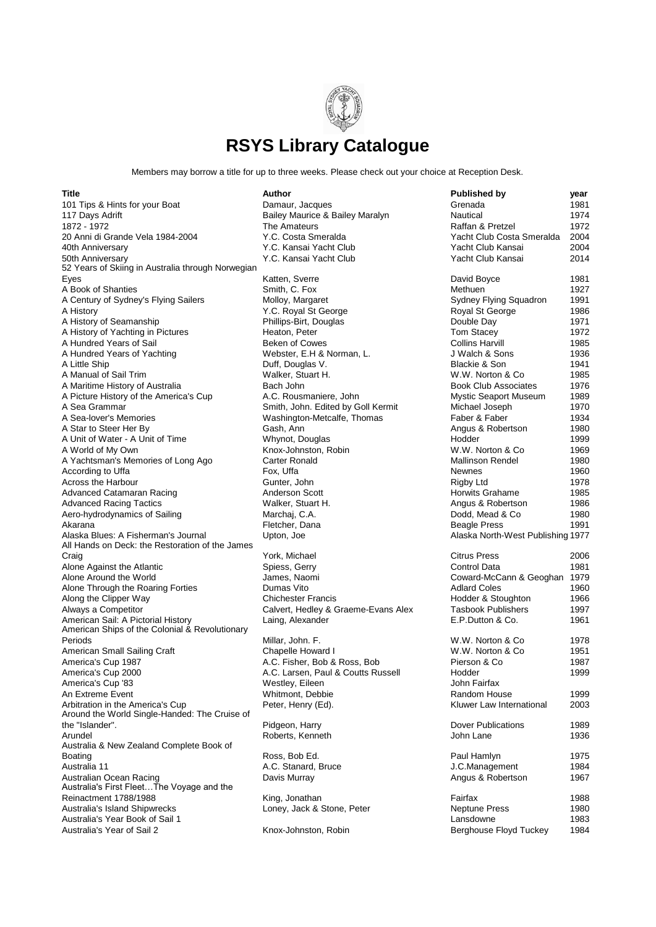

Members may borrow a title for up to three weeks. Please check out your choice at Reception Desk.

| Title                                                                                  | Author                              | <b>Published by</b>               | year |
|----------------------------------------------------------------------------------------|-------------------------------------|-----------------------------------|------|
| 101 Tips & Hints for your Boat                                                         | Damaur, Jacques                     | Grenada                           | 1981 |
| 117 Days Adrift                                                                        | Bailey Maurice & Bailey Maralyn     | Nautical                          | 1974 |
| 1872 - 1972                                                                            | The Amateurs                        | Raffan & Pretzel                  | 1972 |
| 20 Anni di Grande Vela 1984-2004                                                       | Y.C. Costa Smeralda                 | Yacht Club Costa Smeralda         | 2004 |
| 40th Anniversary                                                                       | Y.C. Kansai Yacht Club              | Yacht Club Kansai                 | 2004 |
| 50th Anniversary                                                                       | Y.C. Kansai Yacht Club              | Yacht Club Kansai                 | 2014 |
| 52 Years of Skiing in Australia through Norwegian                                      |                                     |                                   |      |
| Eyes                                                                                   | Katten, Sverre                      | David Boyce                       | 1981 |
| A Book of Shanties                                                                     | Smith, C. Fox                       | Methuen                           | 1927 |
| A Century of Sydney's Flying Sailers                                                   | Molloy, Margaret                    | Sydney Flying Squadron            | 1991 |
| A History                                                                              | Y.C. Royal St George                | Royal St George                   | 1986 |
| A History of Seamanship                                                                | Phillips-Birt, Douglas              | Double Day                        | 1971 |
| A History of Yachting in Pictures                                                      | Heaton, Peter                       | Tom Stacey                        | 1972 |
| A Hundred Years of Sail                                                                | <b>Beken of Cowes</b>               | <b>Collins Harvill</b>            | 1985 |
| A Hundred Years of Yachting                                                            | Webster, E.H & Norman, L.           | J Walch & Sons                    | 1936 |
| A Little Ship                                                                          | Duff, Douglas V.                    | <b>Blackie &amp; Son</b>          | 1941 |
| A Manual of Sail Trim                                                                  | Walker, Stuart H.                   | W.W. Norton & Co.                 | 1985 |
| A Maritime History of Australia                                                        | Bach John                           | <b>Book Club Associates</b>       | 1976 |
| A Picture History of the America's Cup                                                 | A.C. Rousmaniere, John              | Mystic Seaport Museum             | 1989 |
| A Sea Grammar                                                                          | Smith, John. Edited by Goll Kermit  | Michael Joseph                    | 1970 |
| A Sea-lover's Memories                                                                 | Washington-Metcalfe, Thomas         | Faber & Faber                     | 1934 |
| A Star to Steer Her By                                                                 | Gash, Ann                           | Angus & Robertson                 | 1980 |
| A Unit of Water - A Unit of Time                                                       | Whynot, Douglas                     | Hodder                            | 1999 |
| A World of My Own                                                                      | Knox-Johnston, Robin                | W.W. Norton & Co.                 | 1969 |
| A Yachtsman's Memories of Long Ago                                                     | <b>Carter Ronald</b>                | <b>Mallinson Rendel</b>           | 1980 |
| According to Uffa                                                                      | Fox, Uffa                           | <b>Newnes</b>                     | 1960 |
| Across the Harbour                                                                     | Gunter, John                        | Rigby Ltd                         | 1978 |
| Advanced Catamaran Racing                                                              | Anderson Scott                      | Horwits Grahame                   | 1985 |
| Advanced Racing Tactics                                                                | Walker, Stuart H.                   | Angus & Robertson                 | 1986 |
| Aero-hydrodynamics of Sailing                                                          | Marchaj, C.A.                       | Dodd, Mead & Co                   | 1980 |
| Akarana                                                                                | Fletcher, Dana                      | <b>Beagle Press</b>               | 1991 |
| Alaska Blues: A Fisherman's Journal<br>All Hands on Deck: the Restoration of the James | Upton, Joe                          | Alaska North-West Publishing 1977 |      |
| Craig                                                                                  | York, Michael                       | <b>Citrus Press</b>               | 2006 |
| Alone Against the Atlantic                                                             | Spiess, Gerry                       | Control Data                      | 1981 |
| Alone Around the World                                                                 | James, Naomi                        | Coward-McCann & Geoghan 1979      |      |
| Alone Through the Roaring Forties                                                      | Dumas Vito                          | <b>Adlard Coles</b>               | 1960 |
| Along the Clipper Way                                                                  | <b>Chichester Francis</b>           | Hodder & Stoughton                | 1966 |
| Always a Competitor                                                                    | Calvert, Hedley & Graeme-Evans Alex | <b>Tasbook Publishers</b>         | 1997 |
| American Sail: A Pictorial History<br>American Ships of the Colonial & Revolutionary   | Laing, Alexander                    | E.P.Dutton & Co.                  | 1961 |
| Periods                                                                                | Millar, John. F.                    | W.W. Norton & Co.                 | 1978 |
| American Small Sailing Craft                                                           | Chapelle Howard I                   | W.W. Norton & Co.                 | 1951 |
| America's Cup 1987                                                                     | A.C. Fisher, Bob & Ross, Bob        | Pierson & Co                      | 1987 |
| America's Cup 2000                                                                     | A.C. Larsen, Paul & Coutts Russell  | Hodder                            | 1999 |
| America's Cup '83                                                                      | Westley, Eileen                     | John Fairfax                      |      |
| An Extreme Event                                                                       | Whitmont, Debbie                    | Random House                      | 1999 |
| Arbitration in the America's Cup<br>Around the World Single-Handed: The Cruise of      | Peter, Henry (Ed).                  | Kluwer Law International          | 2003 |
| the "Islander".                                                                        | Pidgeon, Harry                      | Dover Publications                | 1989 |
| Arundel                                                                                | Roberts, Kenneth                    | John Lane                         | 1936 |
| Australia & New Zealand Complete Book of                                               |                                     |                                   |      |
| Boating                                                                                | Ross, Bob Ed.                       | Paul Hamlyn                       | 1975 |
| Australia 11                                                                           | A.C. Stanard, Bruce                 | J.C.Management                    | 1984 |
| Australian Ocean Racing                                                                | Davis Murray                        | Angus & Robertson                 | 1967 |
| Australia's First FleetThe Voyage and the                                              |                                     |                                   |      |
| Reinactment 1788/1988                                                                  | King, Jonathan                      | Fairfax                           | 1988 |
| Australia's Island Shipwrecks                                                          | Loney, Jack & Stone, Peter          | <b>Neptune Press</b>              | 1980 |
| Australia's Year Book of Sail 1                                                        |                                     | Lansdowne                         | 1983 |
| Australia's Year of Sail 2                                                             | Knox-Johnston, Robin                | Berghouse Floyd Tuckey            | 1984 |
|                                                                                        |                                     |                                   |      |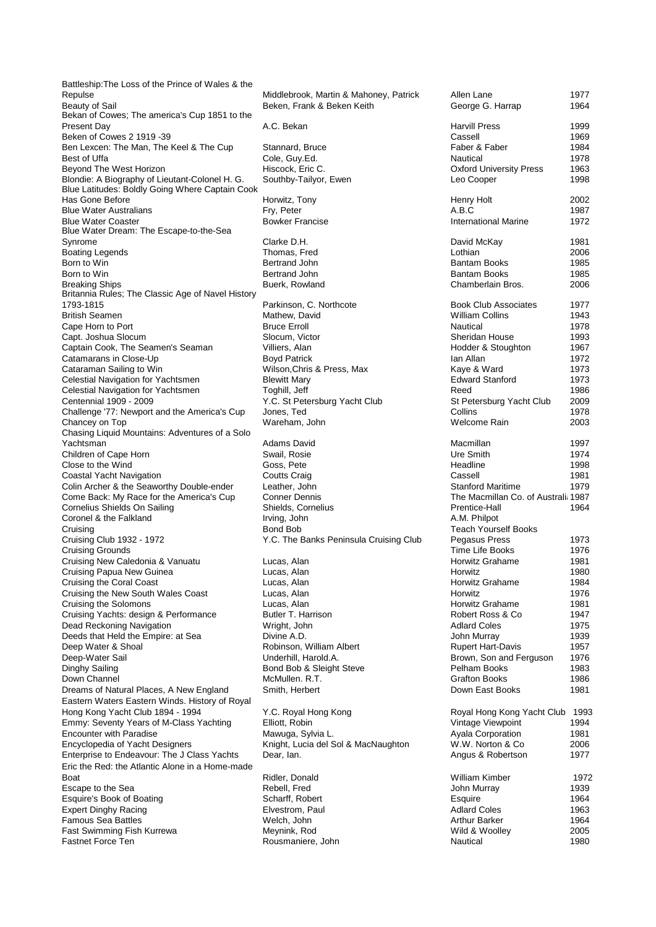Battleship:The Loss of the Prince of Wales & the Repulse Middlebrook, Martin & Mahoney, Patrick Allen Lane 1978<br>Beken, Frank & Beken Keith Bekan of Cowes; The america's Cup 1851 to the Present Day **A.C. Bekan** Harvill Press 1999 Beken of Cowes 2 1919 -39 Ben Lexcen: The Man, The Keel & The Cup Stannard, Bruce Best of Uffa Cole, Guy.Ed. Nautical Nautical 1978 Beyond The West Horizon **Hiscock, Eric C.** (Beyond The West Horizon university Press 1963)<br>Blondie: A Biography of Lieutant-Colonel H. G. (Buthby-Tailvor, Ewen Blondie: A Biography of Lieutant-Colonel H. G. Blue Latitudes: Boldly Going Where Captain Cook Has Gone Before **Horwitz, Tony**<br>
Blue Water Australians<br>
Horwitz, Peter Blue Water Australians Fry, Peter<br>
Blue Water Coaster **A.B.C 1987**<br>
Bowker Francise Blue Water Coaster Blue Water Dream: The Escape-to-the-Sea Synrome Clarke D.H. David McKay 1981 Boating Legends Thomas, Fred Born to Win Bertrand John Books 1985 (Bantam Books 1985) Born to Win Bertrand John Books 1985 (Bantam Books 1985) Breaking Ships **Buerk, Rowland** Buerk, Rowland Britannia Rules; The Classic Age of Navel History 1793-1815 **Parkinson, C. Northcote** Parkinson, C. Northcote **British Seamen British Seamen** Cape Horn to Port **Bruce Erroll**<br>
Capt. Joshua Slocum **Bruce Erroll** Slocum, Victor Capt. Joshua Slocum<br>
Captain Cook. The Seamen's Seaman Milliers. Alan Captain Cook, The Seamen's Seaman Villiers, Alan Catamarans in Close-Up and Novel 2007 Catamarans in Close-Up<br>Cataraman Sailing to Win Celestial Navigation for Yachtsmen Blewitt Mary<br>Celestial Navigation for Yachtsmen Toghill, Jeff Celestial Navigation for Yachtsmen Centennial 1909 - 2009 **The St Petersburg Yacht Club** Y.C. St Petersburg Yacht Club Challenge '77: Newport and the America's Cup Jones, Ted Chancey on Top Wareham, John Chasing Liquid Mountains: Adventures of a Solo Yachtsman Adams David Macmillan 1997 Children of Cape Horn Swail, Rosie Close to the Wind<br>
Close to the Wind Soss, Pete Close to the Wind<br>
Coastal Yacht Navigation<br>
Coutts Craig Coastal Yacht Navigation Coastal Yacht Navigation Coutts Craig<br>Colin Archer & the Seaworthy Double-ender Leather John Colin Archer & the Seaworthy Double-ender Come Back: My Race for the America's Cup Conner Dennis Cornelius Shields On Sailing Shields, Cornelius Coronel & the Falkland Irving, John Cruising Bond Bob Teach Yourself Books Cruising Club 1932 - 1972 **The Banks Peninsula Cruising Club** Peninsula Cruising Club Cruising Grounds Cruising New Caledonia & Vanuatu Lucas, Alan Cruising Papua New Guinea **Lucas**, Alan Cruising the Coral Coast **Lucas**, Alan Cruising the New South Wales Coast Lucas, Alan Cruising the Solomons **Lucas**, Alan Cruising Yachts: design & Performance Butler T. Harrison Dead Reckoning Navigation **Wright, John** Deeds that Held the Empire: at Sea Divine A.D.<br>Deep Water & Shoal Murray 1939 Robinson. Deep-Water Sail **Deep-Water Sail Communist Communist Communist Communist Communist Communist Communist Communist Communist Communist Communist Communist Communist Communist Communist Communist Communist Communist Communist** Down Channel McMullen. R.T. Dreams of Natural Places, A New England Smith, Herbert Eastern Waters Eastern Winds. History of Royal Hong Kong Yacht Club 1894 - 1994 Y.C. Royal Hong Kong Royal Hong Kong Yacht Club 1993 Emmy: Seventy Years of M-Class Yachting Elliott, Robin<br>
Focounter with Paradise **Views** Mawuga, Sylvia La Encounter with Paradise Encyclopedia of Yacht Designers Knight, Lucia del Sol & MacNaughton<br>
Fnterprise to Endeavour: The J Class Yachts Dear, Jan. Enterprise to Endeavour: The J Class Yachts Eric the Red: the Atlantic Alone in a Home-made Boat **Ridler, Donald Milliam Kimber 1972** Controller Milliam Kimber 1972 Escape to the Sea Rebell, Fred Esquire's Book of Boating Scharff, Robert Esquire's Book of Boating Expert Dinghy Racing **Elvestrom, Paul Famous Sea Battles 1963** Coles 1964 Melch, John Famous Sea Battles Fast Swimming Fish Kurrewa<br>
Fastnet Force Ten<br>
Rousmaniere

| Middlebrook, Martin & Mahoney, Patrick<br>Beken, Frank & Beken Keith | Allen Lane<br>George G. Harrap                        | 1977<br>1964 |
|----------------------------------------------------------------------|-------------------------------------------------------|--------------|
| A.C. Bekan                                                           | <b>Harvill Press</b><br>Cassell                       | 1999<br>1969 |
| Stannard, Bruce                                                      | Faber & Faber                                         | 1984         |
| Cole, Guy.Ed.                                                        | Nautical                                              | 1978         |
| Hiscock, Eric C.                                                     | <b>Oxford University Press</b>                        | 1963         |
| Southby-Tailyor, Ewen                                                | Leo Cooper                                            | 1998         |
| Horwitz, Tony                                                        | <b>Henry Holt</b>                                     | 2002         |
| Fry, Peter                                                           | A.B.C                                                 | 1987         |
| <b>Bowker Francise</b>                                               | <b>International Marine</b>                           | 1972         |
| Clarke D.H.                                                          | David McKay                                           | 1981         |
| Thomas, Fred                                                         | Lothian                                               | 2006         |
| Bertrand John                                                        | <b>Bantam Books</b>                                   | 1985         |
| <b>Bertrand John</b>                                                 | Bantam Books                                          | 1985         |
| Buerk, Rowland                                                       | Chamberlain Bros.                                     | 2006         |
| Parkinson, C. Northcote                                              | <b>Book Club Associates</b><br><b>William Collins</b> | 1977<br>1943 |
| Mathew, David<br><b>Bruce Erroll</b>                                 | Nautical                                              | 1978         |
| Slocum, Victor                                                       | Sheridan House                                        | 1993         |
| Villiers, Alan                                                       | Hodder & Stoughton                                    | 1967         |
| <b>Boyd Patrick</b>                                                  | Ian Allan                                             | 1972         |
| Wilson, Chris & Press, Max                                           | Kaye & Ward                                           | 1973         |
| <b>Blewitt Mary</b>                                                  | <b>Edward Stanford</b>                                | 1973         |
| Toghill, Jeff                                                        | Reed                                                  | 1986         |
| Y.C. St Petersburg Yacht Club                                        | St Petersburg Yacht Club                              | 2009         |
| Jones, Ted                                                           | Collins                                               | 1978         |
| Wareham, John                                                        | Welcome Rain                                          | 2003         |
| Adams David                                                          | Macmillan                                             | 1997         |
| Swail, Rosie                                                         | Ure Smith                                             | 1974         |
| Goss, Pete                                                           | Headline                                              | 1998         |
| <b>Coutts Craig</b>                                                  | Cassell                                               | 1981         |
| Leather, John                                                        | <b>Stanford Maritime</b>                              | 1979         |
| <b>Conner Dennis</b>                                                 | The Macmillan Co. of Australi: 1987                   |              |
| Shields, Cornelius                                                   | Prentice-Hall                                         | 1964         |
| Irving, John                                                         | A.M. Philpot                                          |              |
| Bond Bob                                                             | <b>Teach Yourself Books</b>                           |              |
| Y.C. The Banks Peninsula Cruising Club                               | Pegasus Press                                         | 1973         |
|                                                                      | Time Life Books                                       | 1976         |
| Lucas, Alan                                                          | Horwitz Grahame                                       | 1981         |
| Lucas, Alan                                                          | Horwitz                                               | 1980         |
| Lucas, Alan                                                          | Horwitz Grahame                                       | 1984         |
| Lucas, Alan                                                          | Horwitz                                               | 1976         |
| Lucas, Alan<br>Butler T. Harrison                                    | Horwitz Grahame                                       | 1981         |
|                                                                      | Robert Ross & Co                                      | 1947         |
| Wright, John<br>Divine A.D.                                          | <b>Adlard Coles</b><br>John Murray                    | 1975         |
| Robinson, William Albert                                             | <b>Rupert Hart-Davis</b>                              | 1939<br>1957 |
| Underhill, Harold.A.                                                 | Brown, Son and Ferguson                               | 1976         |
| Bond Bob & Sleight Steve                                             | Pelham Books                                          | 1983         |
| McMullen. R.T.                                                       | <b>Grafton Books</b>                                  | 1986         |
| Smith, Herbert                                                       | Down East Books                                       | 1981         |
|                                                                      |                                                       |              |
| Y.C. Royal Hong Kong                                                 | Royal Hong Kong Yacht Club<br>Vintage Viewpoint       | 199          |
| Elliott, Robin                                                       |                                                       | 1994         |
| Mawuga, Sylvia L.                                                    | Ayala Corporation                                     | 1981         |
| Knight, Lucia del Sol & MacNaughton<br>Dear, Ian.                    | W.W. Norton & Co.<br>Angus & Robertson                | 2006<br>1977 |
| Ridler, Donald                                                       | William Kimber                                        | 1972         |
| Rebell, Fred                                                         | John Murray                                           | 1939         |
| Scharff, Robert                                                      | Esquire                                               | 1964         |
| Elvestrom, Paul                                                      | <b>Adlard Coles</b>                                   | 1963         |
| Welch, John                                                          | <b>Arthur Barker</b>                                  | 1964         |
| Meynink, Rod                                                         | Wild & Woolley                                        | 2005         |
| Rousmaniere, John                                                    | Nautical                                              | 1980         |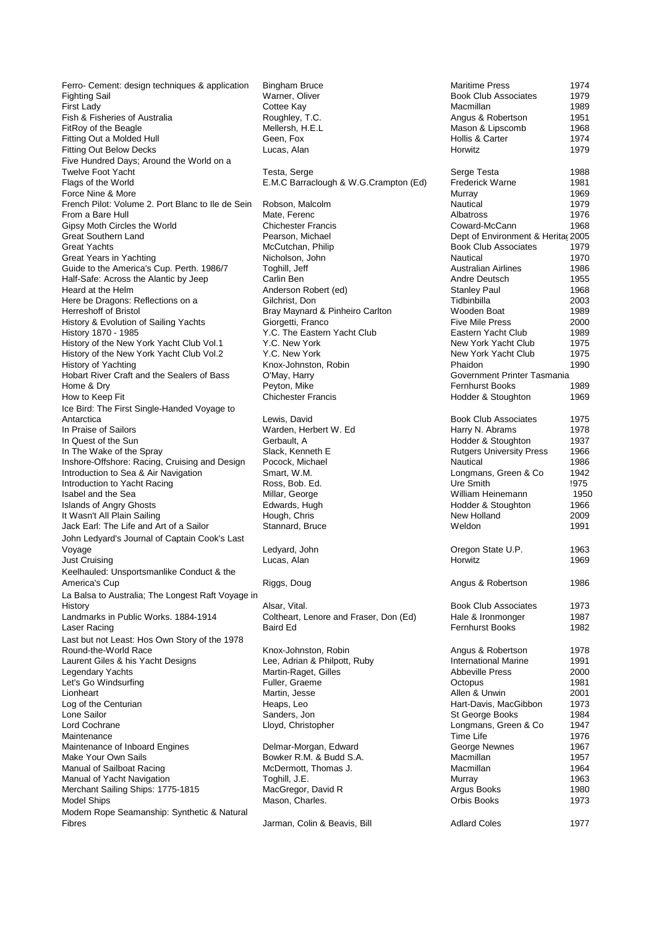Ferro- Cement: design techniques & application Bingham Bruce<br>Fighting Sail Maritime Press 1974 Fighting Sail Warner, Oliver Book Club Associates 1979 First Lady Cottee Kay Macmillan 1989 Fish & Fisheries of Australia **Roughley, T.C.** Angus Boughley, T.C. Angles C. Angles 2011 Mellersh, H.E.L. FitRoy of the Beagle Mellersh, H. Mellersh, H. Mellersh, H. Mellersh, H. Mason B. Mellersh, H. Mason 2011 Fitting Out a Molded Hull Geen, Fox<br>
Fitting Out Below Decks<br>
Lucas, Alan Fitting Out Below Decks Five Hundred Days; Around the World on a Twelve Foot Yacht Testa, Serge Testa, Serge Testa, Serge Testa, Serge Testa, Serge Testa, Serge Testa, Serge Te Force Nine & More<br>French Pilot: Volume 2. Port Blanc to Ile de Sein Robson, Malcolm French Pilot: Volume 2. Port Blanc to Ile de Sein Robson, Malcolm a Bare Hull 1979 From a Bare Hull Matel Mate, Ferenc **Albatross 1976** a Mate Albatross 1976 Gipsy Moth Circles the World Chichester Francis<br>
Great Southern Land<br>
Pearson, Michael Great Southern Land<br>Great Yachts Great Years in Yachting Guide to the America's Cup. Perth. 1986/7 Toghill, Jeff Half-Safe: Across the Alantic by Jeep Carlin Ben Half-Safe: Across the Alantic by Jeep Heard at the Helm Anderson Robert (ed)<br>
Here be Dragons: Reflections on a Gilchrist. Don Here be Dragons: Reflections on a Herreshoff of Bristol Bray Maynard & Pinheiro Carlton History & Evolution of Sailing Yachts Giorgetti, Franco History 1870 - 1985 **History 1870 - 1985** Y.C. The Eastern Yacht Club History of the New York Yacht Club Vol.1 Y.C. New York History of the New York Yacht Club Vol.2 Y.C. New York History of Yachting **Knox-Johnston, Robin Knox-Johnston**, Robin Hobart River Craft and the Sealers of Bass O'May, Harry Home & Dry Peyton, Mike Fernhurst Books 1989 How to Keep Fit **Chichester Francis** Chichester Francis Ice Bird: The First Single-Handed Voyage to Antarctica Lewis, David Book Club Associates 1975 In Praise of Sailors Warden, Herbert W. Ed In Quest of the Sun Gerbault, A In The Wake of the Spray Slack, Kenneth E Inshore-Offshore: Racing, Cruising and Design Pocock, Michael Introduction to Sea & Air Navigation Smart, W.M. Introduction to Yacht Racing **Ross**, Bob. Ed. Isabel and the Sea **Millar, George** Millar, George Millam Heinemann 1950 Islands of Angry Ghosts **Edwards, Hugh** Edwards, Hugh It Wasn't All Plain Sailing **Internal 2009** Hough, Chris Hough, Chris New Hough, Chris New Holland 2009.<br>New Hotland 2009, New Hough 2009, Chris New Hough 2009, New Hough 2009, New Hough 2009. Jack Earl: The Life and Art of a Sailor John Ledyard's Journal of Captain Cook's Last Voyage Ledyard, John Chronic Chronic Chronic Chronic Chronic Chronic Chronic Chronic Chronic Chronic Chronic C Just Cruising Lucas, Alan Horwitz 1969 Keelhauled: Unsportsmanlike Conduct & the America's Cup **Riggs**, Doug La Balsa to Australia; The Longest Raft Voyage in History Alsar, Vital. Book Club Associates 1973 Landmarks in Public Works. 1884-1914 Coltheart, Lenore and Fraser, Don (Ed) Laser Racing Baird Ed Fernhurst Books 1982 Last but not Least: Hos Own Story of the 1978 Round-the-World Race Knox-Johnston, Robin Laurent Giles & his Yacht Designs Lee, Adrian & Philpott, Ruby Legendary Yachts Martin-Raget, Gilles Let's Go Windsurfing The Contract Contract Fuller, Graeme Lionheart Martin, Jesse Log of the Centurian **Heaps**, Leo Lone Sailor North Sanders, Jon New Sanders, School St George Books 1984 Lord Cochrane Lord Cochrane Lord Cochrane Lord Cochrane Business And Lord Cochrane Business And Lord Corp. 201 Maintenance Time Life 1976 Maintenance of Inboard Engines **Delmar-Morgan, Edward Communisty** Delmar-Morgan, Edward<br>Make Your Own Sails 1967 Manual of Sailboat Racing<br>
Manual of Yacht Navigation<br>
Toghill. J.E. Manual of Yacht Navigation Toghill, J.E.<br>
Merchant Sailing Ships: 1775-1815 MacGregor, David R Merchant Sailing Ships: 1775-1815<br>Model Ships Modern Rope Seamanship: Synthetic & Natural

E.M.C Barraclough & W.G.Crampton (Ed) McCutchan, Philip<br>Nicholson, John Bowker R.M. & Budd S.A.<br>McDermott, Thomas J. Mason, Charles. Jarman, Colin & Beavis, Bill **Adlard Coles** 1977

| <b>Maritime Press</b><br><b>Book Club Associates</b><br>Macmillan   | 1974<br>1979<br>1989 |
|---------------------------------------------------------------------|----------------------|
| Angus & Robertson<br>Mason & Lipscomb<br>Hollis & Carter<br>Horwitz | 1951<br>1968<br>1974 |
| Serge Testa                                                         | 1979<br>1988         |
| <b>Frederick Warne</b>                                              | 1981                 |
| Murray<br>Nautical                                                  | 1969<br>1979         |
| Albatross                                                           | 1976                 |
| Coward-McCann                                                       | 1968                 |
| Dept of Environment & Herita(2005                                   |                      |
| <b>Book Club Associates</b>                                         | 1979                 |
| Nautical                                                            | 1970                 |
| <b>Australian Airlines</b>                                          | 1986                 |
| Andre Deutsch<br><b>Stanley Paul</b>                                | 1955<br>1968         |
| Tidbinbilla                                                         | 2003                 |
| Wooden Boat                                                         | 1989                 |
| <b>Five Mile Press</b>                                              | 2000                 |
| Eastern Yacht Club                                                  | 1989                 |
| New York Yacht Club                                                 | 1975                 |
| New York Yacht Club<br>Phaidon                                      | 1975<br>1990         |
| Government Printer Tasmania                                         |                      |
| Fernhurst Books                                                     | 1989                 |
| Hodder & Stoughton                                                  | 1969                 |
| <b>Book Club Associates</b>                                         | 1975                 |
| Harry N. Abrams                                                     | 1978                 |
| Hodder & Stoughton                                                  | 1937                 |
| <b>Rutgers University Press</b><br>Nautical                         | 1966                 |
| Longmans, Green & Co                                                | 1986<br>1942         |
| Ure Smith                                                           | !975                 |
| William Heinemann                                                   | 195                  |
| Hodder & Stoughton                                                  | 1966                 |
| New Holland                                                         | 2009                 |
| Weldon                                                              | 1991                 |
| Oregon State U.P.<br>Horwitz                                        | 1963<br>1969         |
|                                                                     | 1986                 |
| Angus & Robertson                                                   |                      |
| <b>Book Club Associates</b>                                         | 1973                 |
| Hale & Ironmonger<br>Fernhurst Books                                | 1987<br>1982         |
| Angus & Robertson                                                   | 1978                 |
| <b>International Marine</b>                                         | 1991                 |
| <b>Abbeville Press</b>                                              | 2000                 |
| Octopus                                                             | 1981                 |
| Allen & Unwin                                                       | 2001                 |
| Hart-Davis, MacGibbon                                               | 1973                 |
| St George Books<br>Longmans, Green & Co                             | 1984<br>1947         |
| Time Life                                                           | 1976                 |
| George Newnes                                                       | 1967                 |
| Macmillan                                                           | 1957                 |
| Macmillan                                                           | 1964                 |
| Murray                                                              | 1963                 |
| Argus Books<br>Orbis Books                                          | 1980<br>1973         |
|                                                                     |                      |
| Adlard Calor                                                        | 1077                 |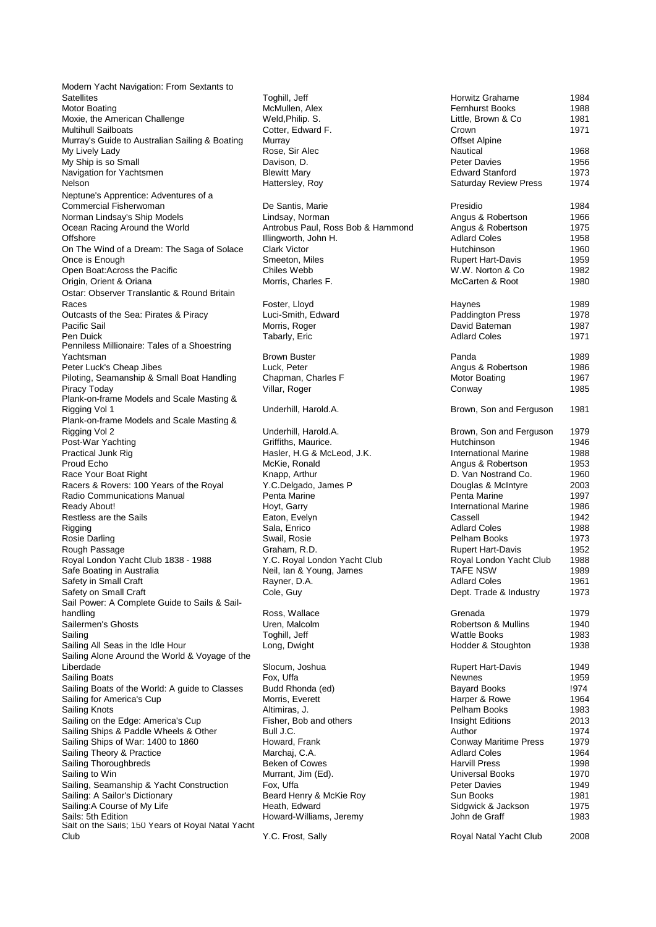Modern Yacht Navigation: From Sextants to Satellites The Material of the Toghill, Jeff Material Community Horwitz Grahame the 1984 Motor Boating McMullen, Alex Motor Boating McMullen, Alex Fernhurst Books 1988<br>Motor Books 1988 1998 Med, Philip. S. Moxie, the American Challenge **Weld,Philip. S.**<br>Multihull Sailboats **Cotter, Edward F. Multihull Sailboats** Murray's Guide to Australian Sailing & Boating Murray<br>My Lively Lady Bose, Sir Alec My Lively Lady **Rose, Sir Alec Nautical 2018** Rose, Sir Alec Navison, D.<br>
My Ship is so Small **Rose** Davison, D. My Ship is so Small Navigation for Yachtsmen Blewitt Mary Nelson **Nelson Hattersley, Roy** Neptune's Apprentice: Adventures of a Commercial Fisherwoman De Santis, Marie Norman Lindsay's Ship Models **Lindsay**, Norman Ocean Racing Around the World **Antrobus Paul, Ross Bob & Hammond** Offshore Illingworth, John H. On The Wind of a Dream: The Saga of Solace Clark Victor Once is Enough Smeeton, Miles Open Boat:Across the Pacific Chiles Webb Origin, Orient & Oriana Morris, Charles F. Ostar: Observer Translantic & Round Britain Races Foster, Lloyd Outcasts of the Sea: Pirates & Piracy Luci-Smith, Edward<br>Pacific Sail Morris, Roger Pacific Sail **Morris, Roger Community Career** David Bateman 1987 Pen Duick Tabarly, Eric Coles 2008 Adlard Coles 1971 1971 Penniless Millionaire: Tales of a Shoestring Yachtsman Brown Buster Panda 1989 Peter Luck's Cheap Jibes **Luck, Peter** Luck, Peter Piloting, Seamanship & Small Boat Handling Chapman, Charles F Piracy Today Villar, Roger Conway 1985 Plank-on-frame Models and Scale Masting & Rigging Vol 1 **Underhill, Harold.A.** Plank-on-frame Models and Scale Masting & Rigging Vol 2 **Example 2 Under Accord 2** Underhill, Harold.A. Post-War Yachting Griffiths, Maurice. Practical Junk Rig **Hasler, H.G & McLeod, J.K.** International Marine 1988 Media Marine 1988 Proud Echo **McKie**, Ronald **Angles** McKie, Ronald Race Your Boat Right Knapp, Arthur Racers & Rovers: 100 Years of the Royal Y.C.Delgado, James P Radio Communications Manual Penta Marine Ready About! The Controller of the Hort, Garry The Controller Controller international Marine The 1986 Restless are the Sails Eaton, Evelyn Rigging Sala, Enrico Coles and Adlard Coles 1988 (1988) 1988 Rosie Darling Swait, Rosie Pelham Books 1973 (1973) 1973 Rough Passage Graham, R.D.<br>Roval London Yacht Club 1838 - 1988 Graham, R.D. Roval London Yacht Club Royal London Yacht Club 1838 - 1988 Safe Boating in Australia Neil, Ian & Young, James Safety in Small Craft **Rayner**, D.A. Safety on Small Craft Cole, Guy Sail Power: A Complete Guide to Sails & Sailhandling Ross, Wallace Callending Ross, Wallace Callen<br>
Sailermen's Ghosts Callending Charles Chemical Chemical Chemical Chemical Chemical Chemical Chemical Chemical<br>
The Chemical Chemical Chemical Chemical Chemical Chemic Sailermen's Ghosts Uren, Malcolm Robertson & Mullins 1940 Sailing Toghill, Jeff Wattle Books 1983 Sailing All Seas in the Idle Hour Long, Dwight Sailing Alone Around the World & Voyage of the Liberdade Slocum, Joshua Sailing Boats Fox, Uffa Newnes Newnes 1959 and the Society of the Newnes Albert 1959 Sailing Boats of the World: A guide to Classes Budd Rhonda (ed) Sailing for America's Cup Morris, Everett Sailing Knots **Altimiras, J.** Altimiras, J. Altimiras, J. Pelham Books 1983 Sailing on the Edge: America's Cup Fisher, Bob and others Sailing Ships & Paddle Wheels & Other Bull J.C. Sailing Ships of War: 1400 to 1860 Howard, Frank Sailing Theory & Practice Marchaj, C.A.<br>
Sailing Thoroughbreds<br>
Marchaj, C.A. Beken of Cowes Sailing Thoroughbreds Sailing to Win **Sailing** to Win **Murrant**, Jim (Ed). Sailing, Seamanship & Yacht Construction Fox, Uffa Sailing: A Sailor's Dictionary Beard Henry & McKie Roy Sailing:A Course of My Life **Heath, Edward Heath, Edward Sails:**<br>
Sails: 5th Edition 1976 Salt on the Sails; 150 Years of Royal Natal Yacht Club Y.C. Frost, Sally

Howard-Williams, Jeremy

| Horwitz Grahame<br><b>Fernhurst Books</b><br>Little, Brown & Co<br>Crown                                                                                                                                                                                                                                                                                           | 1984<br>1988<br>1981<br>1971                                                                                                 |
|--------------------------------------------------------------------------------------------------------------------------------------------------------------------------------------------------------------------------------------------------------------------------------------------------------------------------------------------------------------------|------------------------------------------------------------------------------------------------------------------------------|
| <b>Offset Alpine</b><br>Nautical<br><b>Peter Davies</b><br><b>Edward Stanford</b><br><b>Saturday Review Press</b>                                                                                                                                                                                                                                                  | 1968<br>1956<br>1973<br>1974                                                                                                 |
| Presidio<br>Angus & Robertson<br>Angus & Robertson<br><b>Adlard Coles</b><br>Hutchinson<br><b>Rupert Hart-Davis</b><br>W.W. Norton & Co<br>McCarten & Root                                                                                                                                                                                                         | 1984<br>1966<br>1975<br>1958<br>1960<br>1959<br>1982<br>1980                                                                 |
| Haynes<br><b>Paddington Press</b><br>David Bateman<br><b>Adlard Coles</b>                                                                                                                                                                                                                                                                                          | 1989<br>1978<br>1987<br>1971                                                                                                 |
| Panda<br>Angus & Robertson<br>Motor Boating<br>Conway                                                                                                                                                                                                                                                                                                              | 1989<br>1986<br>1967<br>1985                                                                                                 |
| Brown, Son and Ferguson                                                                                                                                                                                                                                                                                                                                            | 1981                                                                                                                         |
| Brown, Son and Ferguson<br>Hutchinson<br><b>International Marine</b><br>Angus & Robertson<br>D. Van Nostrand Co.<br>Douglas & McIntyre<br>Penta Marine<br><b>International Marine</b><br>Cassell<br><b>Adlard Coles</b><br>Pelham Books<br><b>Rupert Hart-Davis</b><br>Royal London Yacht Club<br><b>TAFE NSW</b><br><b>Adlard Coles</b><br>Dept. Trade & Industry | 1979<br>1946<br>1988<br>1953<br>1960<br>2003<br>1997<br>1986<br>1942<br>1988<br>1973<br>1952<br>1988<br>1989<br>1961<br>1973 |
| Grenada<br>Robertson & Mullins<br><b>Wattle Books</b><br>Hodder & Stoughton                                                                                                                                                                                                                                                                                        | 1979<br>1940<br>1983<br>1938                                                                                                 |
| <b>Rupert Hart-Davis</b><br>Newnes<br><b>Bayard Books</b><br>Harper & Rowe<br>Pelham Books<br><b>Insight Editions</b><br>Author<br><b>Conway Maritime Press</b><br><b>Adlard Coles</b><br><b>Harvill Press</b><br>Universal Books<br><b>Peter Davies</b><br>Sun Books<br>Sidgwick & Jackson<br>John de Graff                                                       | 1949<br>1959<br>!974<br>1964<br>1983<br>2013<br>1974<br>1979<br>1964<br>1998<br>1970<br>1949<br>1981<br>1975<br>1983         |
| Royal Natal Yacht Club                                                                                                                                                                                                                                                                                                                                             | 2008                                                                                                                         |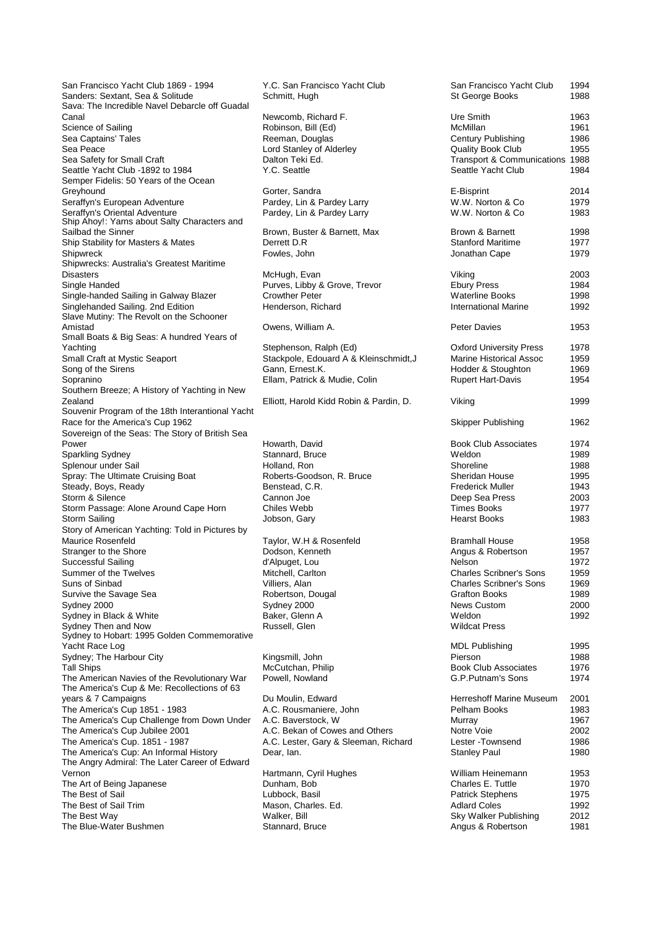San Francisco Yacht Club 1869 - 1994 Y.C. San Francisco Yacht Club Sanders: Sextant, Sea & Solitude Schmitt, Hugh Sava: The Incredible Navel Debarcle off Guadal Canal Canal Canal Canal Canal Canal Canal Canal Canal Canal Canal Canal Canal Canal Canal Of Canal Canad T. Science of Sailing Canad T. Science of Sailing Canad Canad Canad Canad Canad Canad Canad Canad Canad Canad Canad C Sea Captains' Tales Sea Peace Lord Stanley of Alderley Sea Safety for Small Craft **Dalton Teki Ed.**<br>Seattle Yacht Club -1892 to 1984 Y.C. Seattle Seattle Yacht Club -1892 to 1984 Semper Fidelis: 50 Years of the Ocean Greyhound Greyhound Gorter, Sandra Seraffyn's European Adventure Pardey, Lin & Pardey Larry Seraffyn's Oriental Adventure **Pardey, Lin & Pardey Larry** Pardey Larry Ship Ahoy!: Yarns about Salty Characters and Sailbad the Sinner Brown, Buster & Barnett, Max Ship Stability for Masters & Mates Berrett D.R Ship Stability for Masters & Mates Derrett D.R<br>Shipwreck Baritime 1978 Shipwreck Shipwreck Fowles, John Jonathan Cape 1979 1979 Shipwrecks: Australia's Greatest Maritime Disasters McHugh, Evan Viking 2003<br>
Single Handed Simple 2003<br>
Purves, Libby 8 Single-handed Sailing in Galway Blazer Crowther Peter<br>Singlehanded Sailing. 2nd Edition Clear Henderson, Richard Singlehanded Sailing. 2nd Edition Slave Mutiny: The Revolt on the Schooner Amistad **Amistad Contract David Community** Owens, William A. Small Boats & Big Seas: A hundred Years of Yachting <br>Stephenson, Ralph (Ed) Stackpole, Edouard A &<br>Stackpole, Edouard A & Song of the Sirens Gann, Ernest.K.<br>Sopranino 1969 Ellam, Patrick & Southern Breeze; A History of Yachting in New Zealand **Elliott**, Harold Kidd Robin & Pardin, D. Souvenir Program of the 18th Interantional Yacht Race for the America's Cup 1962 Sovereign of the Seas: The Story of British Sea Power **Howarth, David Associates 1974** Sparkling Sydney Stannard, Bruce Splenour under Sail **Holland**, Ron Bolland, Ron Spray: The Ultimate Cruising Boat Roberts-Goodson, R. Bruce Steady, Boys, Ready Benstead, C.R. Storm & Silence Cannon Joe Storm Passage: Alone Around Cape Horn Chiles Webb Storm Sailing Jobson, Gary Hearst Books 1983 Story of American Yachting: Told in Pictures by Stranger to the Shore **Dodson, Kenneth Angles**<br>Successful Sailing **Containers** 1957 and 1957 and 1957 and 1957 and 1957 and 1957 and 1957 and 1957 and 1957 and 1957 and 1957 and 1957 and 1957 and 1957 and 1957 and 1957 and Successful Sailing d'Alpuget, Lou d'Alpuget, Lou d'Alpuget, Lou d'Alpuget, Lou d'Alpuget, Lou de Summer de la G Summer of the Twelves Mitchell, Carl<br>Suns of Sinbad Villiers, Alan Suns of Sinbad Survive the Savage Sea **Robertson**, Dougal Sydney 2000 Sydney 2000 Sydney in Black & White Baker, Glenn A Sydney Then and Now Russell, Glen Sydney to Hobart: 1995 Golden Commemorative Yacht Race Log Sydney; The Harbour City **Kingsmill**, John **Kingsmill** Tall Ships McCutchan, Philip The American Navies of the Revolutionary War Powell, Nowland The America's Cup & Me: Recollections of 63 years & 7 Campaigns **Du Moulin, Edward** The America's Cup 1851 - 1983 A.C. Rousmaniere, John<br>The America's Cup Challenge from Down Under A.C. Baverstock. W The America's Cup Challenge from Down Under The America's Cup Jubilee 2001 <br>The America's Cup. 1851 - 1987 <br>A.C. Lester, Gary & Sleeman, Ric The America's Cup: An Informal History The Angry Admiral: The Later Career of Edward Vernon Hartmann, Cyril Hughes The Art of Being Japanese **Dunham, Bob Charles E. The Best of Sail**<br>The Best of Sail The Best of Sail<br>The Best of Sail Trim The Best of Sail Trim Mason, Charles. Ed.<br>
The Best Way Malker. Bill The Best Way Walker, Bill Sky Walker Publishing 2012 The Blue-Water Bushmen Stannard, Bruce

Robinson, Bill (Ed)<br>Reeman, Douglas Purves, Libby & Grove, Trevor Stackpole, Edouard A & Kleinschmidt,J Ellam, Patrick & Mudie, Colin Taylor, W.H & Rosenfeld<br>Dodson, Kenneth A.C. Lester, Gary & Sleeman, Richard Dear, Ian.

| San Francisco Yacht Club                                                                                                                                                                          | 1994                                                         |
|---------------------------------------------------------------------------------------------------------------------------------------------------------------------------------------------------|--------------------------------------------------------------|
| St George Books                                                                                                                                                                                   | 1988                                                         |
| Ure Smith                                                                                                                                                                                         | 1963                                                         |
| McMillan                                                                                                                                                                                          | 1961                                                         |
| <b>Century Publishing</b>                                                                                                                                                                         | 1986                                                         |
| Quality Book Club                                                                                                                                                                                 | 1955                                                         |
| Transport & Communications                                                                                                                                                                        | 1988                                                         |
| Seattle Yacht Club                                                                                                                                                                                | 1984                                                         |
| E-Bisprint                                                                                                                                                                                        | 2014                                                         |
| W.W. Norton & Co                                                                                                                                                                                  | 1979                                                         |
| W.W. Norton & Co                                                                                                                                                                                  | 1983                                                         |
| Brown & Barnett                                                                                                                                                                                   | 1998                                                         |
| <b>Stanford Maritime</b>                                                                                                                                                                          | 1977                                                         |
| Jonathan Cape                                                                                                                                                                                     | 1979                                                         |
| Viking                                                                                                                                                                                            | 2003                                                         |
| <b>Ebury Press</b>                                                                                                                                                                                | 1984                                                         |
| <b>Waterline Books</b>                                                                                                                                                                            | 1998                                                         |
| <b>International Marine</b>                                                                                                                                                                       | 1992                                                         |
| Peter Davies                                                                                                                                                                                      | 1953                                                         |
| <b>Oxford University Press</b>                                                                                                                                                                    | 1978                                                         |
| <b>Marine Historical Assoc</b>                                                                                                                                                                    | 1959                                                         |
| Hodder & Stoughton                                                                                                                                                                                | 1969                                                         |
| <b>Rupert Hart-Davis</b>                                                                                                                                                                          | 1954                                                         |
| Viking                                                                                                                                                                                            | 1999                                                         |
| <b>Skipper Publishing</b>                                                                                                                                                                         | 1962                                                         |
| <b>Book Club Associates</b>                                                                                                                                                                       | 1974                                                         |
| Weldon                                                                                                                                                                                            | 1989                                                         |
| Shoreline                                                                                                                                                                                         | 1988                                                         |
| <b>Sheridan House</b>                                                                                                                                                                             | 1995                                                         |
| <b>Frederick Muller</b>                                                                                                                                                                           | 1943                                                         |
| Deep Sea Press                                                                                                                                                                                    | 2003                                                         |
| <b>Times Books</b>                                                                                                                                                                                | 1977                                                         |
| <b>Hearst Books</b>                                                                                                                                                                               | 1983                                                         |
| <b>Bramhall House</b><br>Angus & Robertson<br>Nelson<br>Charles Scribner's Sons<br><b>Charles Scribner's Sons</b><br><b>Grafton Books</b><br><b>News Custom</b><br>Weldon<br><b>Wildcat Press</b> | 1958<br>1957<br>1972<br>1959<br>1969<br>1989<br>2000<br>1992 |
| <b>MDL Publishing</b>                                                                                                                                                                             | 1995                                                         |
| Pierson                                                                                                                                                                                           | 1988                                                         |
| <b>Book Club Associates</b>                                                                                                                                                                       | 1976                                                         |
| G.P.Putnam's Sons                                                                                                                                                                                 | 1974                                                         |
| Herreshoff Marine Museum                                                                                                                                                                          | 2001                                                         |
| Pelham Books                                                                                                                                                                                      | 1983                                                         |
| Murray                                                                                                                                                                                            | 1967                                                         |
| Notre Voie                                                                                                                                                                                        | 2002                                                         |
| Lester - Townsend                                                                                                                                                                                 | 1986                                                         |
| <b>Stanley Paul</b>                                                                                                                                                                               | 1980                                                         |
| William Heinemann                                                                                                                                                                                 | 1953                                                         |
| Charles E. Tuttle                                                                                                                                                                                 | 1970                                                         |
| <b>Patrick Stephens</b>                                                                                                                                                                           | 1975                                                         |
| <b>Adlard Coles</b>                                                                                                                                                                               | 1992                                                         |
| Sky Walker Publishing                                                                                                                                                                             | 2012                                                         |
| Angus & Robertson                                                                                                                                                                                 | 1981                                                         |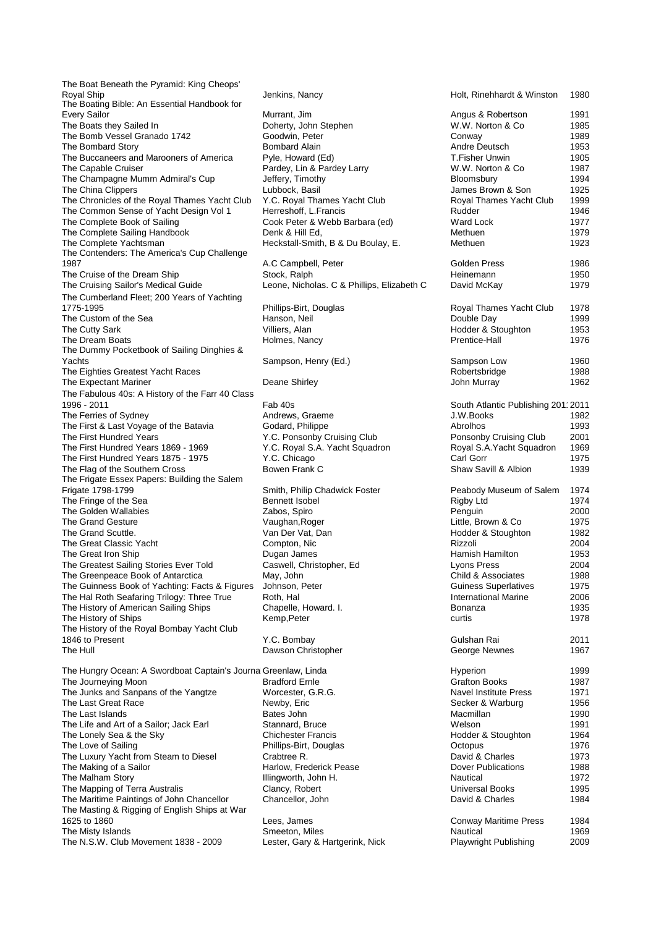The Boat Beneath the Pyramid: King Cheops' Royal Ship **Institute According Tensor** Jenkins, Nancy The Boating Bible: An Essential Handbook for Every Sailor Murrant, Jim Angus & Robertson 1991 The Boats they Sailed In Doherty, John Stephen The Bomb Vessel Granado 1742 Goodwin, Peter The Bombard Story **Bombard Alain** Bombard Alain The Buccaneers and Marooners of America Pyle, Howard (Ed) The Capable Cruiser **Participal Cruiser** Pardey, Lin & Pardey Larry The Champagne Mumm Admiral's Cup Jeffery, Timothy The China Clippers **Lubbock**, Basil James Brown Brown Brown Brown Brown Brown Brown Brown Brown Brown Brown Brown Brown Brown Brown Brown Brown Brown Brown Brown Brown Brown Brown Brown Brown Brown Brown Brown Brown Brown The Chronicles of the Royal Thames Yacht Club Y.C. Royal Thames Yacht Club The Common Sense of Yacht Design Vol 1 Herreshoff, L.Francis The Complete Book of Sailing Cook Peter & Webb Barbara (ed) The Complete Sailing Handbook Denk & Hill Ed, The Complete Yachtsman **Heckstall-Smith, B & Du Boulay, E.** The Contenders: The America's Cup Challenge The Cruise of the Dream Ship<br>
The Cruising Sailor's Medical Guide<br>
Leone, Nicho The Cumberland Fleet; 200 Years of Yachting 1775-1995 **Phillips-Birt, Douglas** Phillips-Birt, Douglas Royal The Custom of the Sea The Custom of the Sea The Cutty Sark **Villiers**, Alan The Dream Boats **Holmes**, Nancy The Dummy Pocketbook of Sailing Dinghies & Yachts **Sampson, Henry (Ed.)** Sampson, Henry (Ed.) The Eighties Greatest Yacht Races The Expectant Mariner **National Contract Contract Contract Contract Contract Contract Contract Contract Contract Contract Contract Contract Contract Contract Contract Contract Contract Contract Contract Contract Contract C** The Fabulous 40s: A History of the Farr 40 Class 1996 - 2011 November 2011 South Atlantic Publishing 2011 2011 November 2012 - South Atlantic Publishing 2011 The Ferries of Sydney<br>
The First & Last Voyage of the Batavia<br>
Godard, Philippe The First & Last Voyage of the Batavia The First Hundred Years Y.C. Ponsonby Cruising Club The First Hundred Years 1869 - 1969 Y.C. Royal S.A. Yacht Squadron<br>The First Hundred Years 1875 - 1975 Y.C. Chicago The First Hundred Years 1875 - 1975 The Flag of the Southern Cross Bowen Frank C The Frigate Essex Papers: Building the Salem Frigate 1798-1799 Smith, Philip Chadwick Foster Smith, Philip Chadwick Foster Periodic Salem 1975 The Fringe of the Sea The Golden Wallabies **Zabos**, Spiro The Grand Gesture Vaughan, Roger The Grand Scuttle. Van Der Vat, Dan Hodder & Stouts The Great Classic Yacht Compton, Nic The Great Iron Ship **Dugan James** The Greatest Sailing Stories Ever Told Caswell, Christopher, Ed The Greenpeace Book of Antarctica May, John The Greenpeace Book of Antarctica The Guinness Book of Yachting: Facts & Figures Johnson, Peter<br>The Hal Roth Seafaring Trilogy: Three True Roth, Hal The Hal Roth Seafaring Trilogy: Three True Roth, Hal International Marine 2006. Roth, Hal International Marine 2006. The History of American Sailing Ships Chapelle, Howard. I. Bonanza 1935.<br>The History of Ships 1935. I. Bonanza 1935. The History of Ships The History of the Royal Bombay Yacht Club 1846 to Present Y.C. Bombay The Hull **Dawson Christopher** Dawson Christopher The Hungry Ocean: A Swordboat Captain's Journa Greenlaw, Linda The Journeying Moon Bradford Ernle The Junks and Sanpans of the Yangtze Worcester, G.R.G. The Last Great Race Newby, Eric Newby, Eric The Last Islands<br>The Life and Art of a Sailor: Jack Farl Stannard, Bruce The Life and Art of a Sailor: Jack Earl The Lonely Sea & the Sky Chichester Francis<br>The Love of Sailing Hodder & Stoughton 1964<br>Phillips-Birt, Dougla The Luxury Yacht from Steam to Diesel Crabtree R.<br>The Making of a Sailor Charles 1973 Harlow, Frederick Pease The Making of a Sailor The Malham Story **Illingworth, John H.**<br>
The Mapping of Terra Australis **Interpretate Clancy**, Robert The Mapping of Terra Australis The Maritime Paintings of John Chancellor Chancellor, John The Masting & Rigging of English Ships at War 1625 to 1860 Lees, James Conway Maritime Press 1984 The Misty Islands **Smeeton**, Miles The N.S.W. Club Movement 1838 - 2009 Lester, Gary & Hartgerink, Nick

A.C Campbell, Peter Leone, Nicholas. C & Phillips, Elizabeth C Phillips-Birt, Douglas

| Holt, Rinehhardt & Winston                                                                                                                               | 1980                                         |
|----------------------------------------------------------------------------------------------------------------------------------------------------------|----------------------------------------------|
| Angus & Robertson                                                                                                                                        | 1991                                         |
| W.W. Norton & Co                                                                                                                                         | 1985                                         |
| Conway                                                                                                                                                   | 1989                                         |
| Andre Deutsch                                                                                                                                            | 1953                                         |
| T.Fisher Unwin                                                                                                                                           | 1905                                         |
| W.W. Norton & Co                                                                                                                                         | 1987                                         |
| Bloomsbury                                                                                                                                               | 1994                                         |
| James Brown & Son                                                                                                                                        | 1925                                         |
| Royal Thames Yacht Club                                                                                                                                  | 1999                                         |
| Rudder                                                                                                                                                   | 1946                                         |
| <b>Ward Lock</b>                                                                                                                                         | 1977                                         |
| Methuen                                                                                                                                                  | 1979                                         |
| Methuen                                                                                                                                                  | 1923                                         |
| Golden Press                                                                                                                                             | 1986                                         |
| Heinemann                                                                                                                                                | 1950                                         |
| David McKay                                                                                                                                              | 1979                                         |
| Royal Thames Yacht Club                                                                                                                                  | 1978                                         |
| Double Day                                                                                                                                               | 1999                                         |
| Hodder & Stoughton                                                                                                                                       | 1953                                         |
| Prentice-Hall                                                                                                                                            | 1976                                         |
| Sampson Low                                                                                                                                              | 1960                                         |
| Robertsbridge                                                                                                                                            | 1988                                         |
| John Murray                                                                                                                                              | 1962                                         |
| South Atlantic Publishing 201' 2011<br>J.W.Books<br>Abrolhos<br>Ponsonby Cruising Club<br>Royal S.A. Yacht Squadron<br>Carl Gorr<br>Shaw Savill & Albion | 1982<br>1993<br>2001<br>1969<br>1975<br>1939 |
| Peabody Museum of Salem                                                                                                                                  | 1974                                         |
| <b>Rigby Ltd</b>                                                                                                                                         | 1974                                         |
| Penguin                                                                                                                                                  | 2000                                         |
| Little, Brown & Co                                                                                                                                       | 1975                                         |
| Hodder & Stoughton                                                                                                                                       | 1982                                         |
| Rizzoli                                                                                                                                                  | 2004                                         |
| Hamish Hamilton                                                                                                                                          | 1953                                         |
| Lyons Press                                                                                                                                              | 2004                                         |
| Child & Associates                                                                                                                                       | 1988                                         |
| <b>Guiness Superlatives</b>                                                                                                                              | 1975                                         |
| <b>International Marine</b>                                                                                                                              | 2006                                         |
| Bonanza                                                                                                                                                  | 1935                                         |
| curtis                                                                                                                                                   | 1978                                         |
| Gulshan Rai                                                                                                                                              | 2011                                         |
| George Newnes                                                                                                                                            | 1967                                         |
| Hyperion                                                                                                                                                 | 1999                                         |
| <b>Grafton Books</b>                                                                                                                                     | 1987                                         |
| <b>Navel Institute Press</b>                                                                                                                             | 1971                                         |
| Secker & Warburg                                                                                                                                         | 1956                                         |
| Macmillan                                                                                                                                                | 1990                                         |
| Welson                                                                                                                                                   | 1991                                         |
| Hodder & Stoughton                                                                                                                                       | 1964                                         |
| Octopus                                                                                                                                                  | 1976                                         |
| David & Charles                                                                                                                                          | 1973                                         |
| <b>Dover Publications</b>                                                                                                                                | 1988                                         |
| Nautical                                                                                                                                                 | 1972                                         |
| Universal Books                                                                                                                                          | 1995                                         |
| David & Charles                                                                                                                                          | 1984                                         |
| <b>Conway Maritime Press</b>                                                                                                                             | 1984                                         |
| Nautical                                                                                                                                                 | 1969                                         |
| Playwright Publishing                                                                                                                                    | 2009                                         |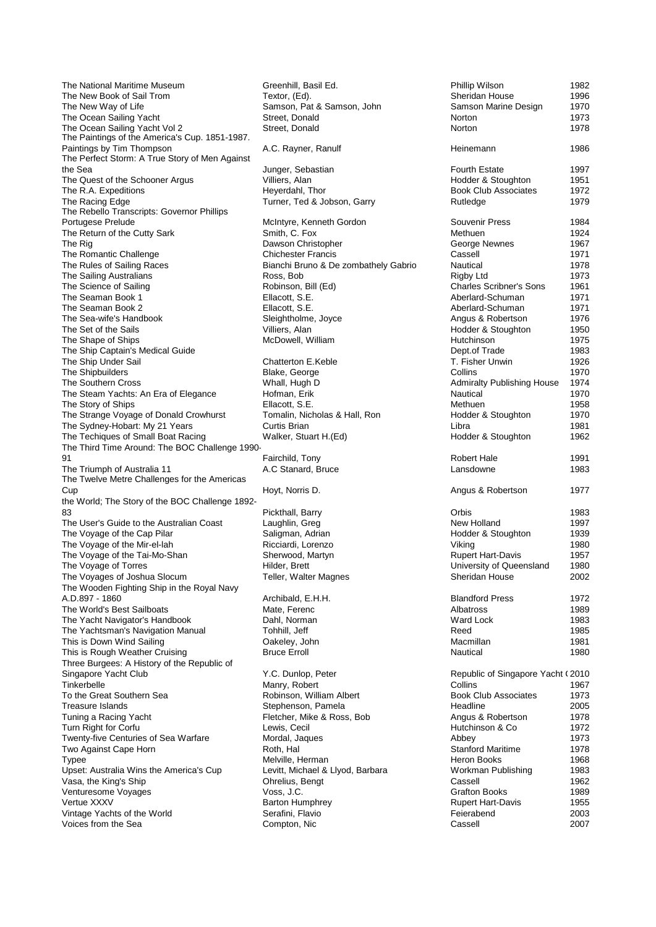The National Maritime Museum Greenhill, Basil Ed. The New Book of Sail Trom Textor, (Ed).<br>The New Way of Life 1996 The Samson, Pat The Ocean Sailing Yacht The Ocean Sailing Yacht Vol 2 Street, Donald The Paintings of the America's Cup. 1851-1987. Paintings by Tim Thompson A.C. Rayner, Ranulf The Perfect Storm: A True Story of Men Against the Sea Junger, Sebastian<br>The Quest of the Schooner Argus **Fourth Estate 1997** Villiers, Alan The Quest of the Schooner Argus The R.A. Expeditions The Reversion of the Heyerdahl, Thor The Racino Edge Club Associates 1972<br>Turner. Ted & Jo The Rebello Transcripts: Governor Phillips<br>Portugese Prelude The Return of the Cutty Sark Smith, C. Fox The Rig<br>
The Romantic Challenge<br>
The Romantic Challenge<br>
Chichester Francis The Romantic Challenge The Rules of Sailing Races Bianchi Bruno & De zombathely Gabrio <br>
The Sailing Australians Coss, Bob The Sailing Australians The Science of Sailing The Science of Sailing Robinson, Bill (Ed) Charles Science Science Science Science Science Science Science Science Science Science Science Science Science Science Science Science Science Science Scie The Seaman Book 1 The Seaman Book 2 Ellacott, S.E.<br>
The Sea-wife's Handbook Seightholme, Joyce The Sea-wife's Handbook Sleightholme, Joyce Angus & Robertson 1976 The Set of the Sails **The Set of the Sails** Villiers, Alan Villiers, Alan 1950 The Shape of Ships The Shape of Ships The Ship Captain's Medical Guide The Ship Under Sail Chatterton E.Keble The Shipbuilders **Blake, George** The Southern Cross Whall, Hugh D The Steam Yachts: An Era of Elegance Hofman, Erik The Story of Ships **Ellacott, S.E.**<br>The Strange Voyage of Donald Crowhurst **Tomalin, Nicholas & Hall, Ron** The Strange Voyage of Donald Crowhurst The Sydney-Hobart: My 21 Years Curtis Brian The Techiques of Small Boat Racing Walker, Stuart H.(Ed) The Third Time Around: The BOC Challenge 1990- 91 Fairchild, Tony Robert Hale 1991 The Triumph of Australia 11 A.C Stanard, Bruce The Twelve Metre Challenges for the Americas Cup The Ultimate Challenge; Single-handed Around Hoyt, Norris D. Angus & Robertson 1977 the World; The Story of the BOC Challenge 1892- 83 **Pickthall, Barry** The User's Guide to the Australian Coast Laughlin, Greg The Voyage of the Cap Pilar Saligman, Adrian Saligman, Adrian The Voyage of the Mir-el-lah Stoughton 1939 The Voyage of the Mir-el-lah The Voyage of the Tai-Mo-Shan Sherwood, Martyn The Voyage of Torres **Hilder, Brett** Hilder, Brett University of Teller, Walter Magnes The Voyages of Joshua Slocum The Wooden Fighting Ship in the Royal Navy A.D.897 - 1860 **A.D.897 - 1860** Archibald, E.H.H.<br>The World's Best Sailboats **Archibald, E.H.H.** Blandford Press 1972 The World's Best Sailboats Mate, Ferenc The Yacht Navigator's Handbook Mate, Terenc 2089 The Yacht Navigator's Handbook **Dahl, Norman Dahl, Norman Ward Lock 1984**<br>The Yachtsman's Navigation Manual **Tran Lock 1983** The Yachtsman's Navigation Manual This is Down Wind Sailing This is Down Wind Sailing This is Rough Weather Cruising **Bruce Erroll** Bruce Erroll Three Burgees: A History of the Republic of Singapore Yacht Club Y.C. Dunlop, Peter Tinkerbelle **Manry, Robert Collins Collins** 1967 1967 To the Great Southern Sea **Robinson, William Albert** Treasure Islands<br>
Treasure Islands<br> **Robinson, Pamela** Treasure Islands<br>
Tuning a Racing Yacht<br>
Stephenson, Pamela Headline 2005<br>
Fletcher, Mike & Ross Turn Right for Corfu Twenty-five Centuries of Sea Warfare Mordal, Jaques<br>Two Against Cape Horn 1973 Roth, Hal Two Against Cape Horn Typee<br>
Upset: Australia Wins the America's Cup 
<br>
Levitt, Michael & Llyod, Barbara Upset: Australia Wins the America's Cup Vasa, the King's Ship **Vasa, the King's Ship Conservest Conserversity** Ohrelius, Bengt Venturesome Vovances Venturesome Voyages Vertue XXXV Barton Humphrey Rupert Hart-Davis 1955 Vintage Yachts of the World Voices from the Sea Compton, Nic

Samson, Pat & Samson, John Street, Donald Turner, Ted & Jobson, Garry McIntyre, Kenneth Gordon Fletcher, Mike & Ross, Bob I ewis Cecil

| Phillip Wilson                                                                                                                                                                                                                                                                                    | 1982                                                                                                         |
|---------------------------------------------------------------------------------------------------------------------------------------------------------------------------------------------------------------------------------------------------------------------------------------------------|--------------------------------------------------------------------------------------------------------------|
| Sheridan House                                                                                                                                                                                                                                                                                    | 1996                                                                                                         |
| Samson Marine Design                                                                                                                                                                                                                                                                              | 1970                                                                                                         |
| Norton                                                                                                                                                                                                                                                                                            | 1973                                                                                                         |
| Norton                                                                                                                                                                                                                                                                                            | 1978                                                                                                         |
| Heinemann                                                                                                                                                                                                                                                                                         | 1986                                                                                                         |
| <b>Fourth Estate</b>                                                                                                                                                                                                                                                                              | 1997                                                                                                         |
| Hodder & Stoughton                                                                                                                                                                                                                                                                                | 1951                                                                                                         |
| <b>Book Club Associates</b>                                                                                                                                                                                                                                                                       | 1972                                                                                                         |
| Rutledge                                                                                                                                                                                                                                                                                          | 1979                                                                                                         |
| Souvenir Press                                                                                                                                                                                                                                                                                    | 1984                                                                                                         |
| Methuen                                                                                                                                                                                                                                                                                           | 1924                                                                                                         |
| George Newnes                                                                                                                                                                                                                                                                                     | 1967                                                                                                         |
| Cassell                                                                                                                                                                                                                                                                                           | 1971                                                                                                         |
| Nautical                                                                                                                                                                                                                                                                                          | 1978                                                                                                         |
| <b>Rigby Ltd</b>                                                                                                                                                                                                                                                                                  | 1973                                                                                                         |
| <b>Charles Scribner's Sons</b>                                                                                                                                                                                                                                                                    | 1961                                                                                                         |
| Aberlard-Schuman                                                                                                                                                                                                                                                                                  | 1971                                                                                                         |
| Aberlard-Schuman                                                                                                                                                                                                                                                                                  | 1971                                                                                                         |
| Angus & Robertson                                                                                                                                                                                                                                                                                 | 1976                                                                                                         |
| Hodder & Stoughton                                                                                                                                                                                                                                                                                | 1950                                                                                                         |
| Hutchinson                                                                                                                                                                                                                                                                                        | 1975                                                                                                         |
| Dept.of Trade                                                                                                                                                                                                                                                                                     | 1983                                                                                                         |
| T. Fisher Unwin                                                                                                                                                                                                                                                                                   | 1926                                                                                                         |
| Collins                                                                                                                                                                                                                                                                                           | 1970                                                                                                         |
| <b>Admiralty Publishing House</b>                                                                                                                                                                                                                                                                 | 1974                                                                                                         |
| Nautical                                                                                                                                                                                                                                                                                          | 1970                                                                                                         |
| Methuen                                                                                                                                                                                                                                                                                           | 1958                                                                                                         |
| Hodder & Stoughton                                                                                                                                                                                                                                                                                | 1970                                                                                                         |
| Libra                                                                                                                                                                                                                                                                                             | 1981                                                                                                         |
| Hodder & Stoughton                                                                                                                                                                                                                                                                                | 1962                                                                                                         |
| Robert Hale                                                                                                                                                                                                                                                                                       | 1991                                                                                                         |
| Lansdowne                                                                                                                                                                                                                                                                                         | 1983                                                                                                         |
| Angus & Robertson                                                                                                                                                                                                                                                                                 | 1977                                                                                                         |
| Orbis                                                                                                                                                                                                                                                                                             | 1983                                                                                                         |
| New Holland                                                                                                                                                                                                                                                                                       | 1997                                                                                                         |
| Hodder & Stoughton                                                                                                                                                                                                                                                                                | 1939                                                                                                         |
| Viking                                                                                                                                                                                                                                                                                            | 1980                                                                                                         |
| <b>Rupert Hart-Davis</b>                                                                                                                                                                                                                                                                          | 1957                                                                                                         |
| University of Queensland                                                                                                                                                                                                                                                                          | 1980                                                                                                         |
| Sheridan House                                                                                                                                                                                                                                                                                    | 2002                                                                                                         |
| <b>Blandford Press</b>                                                                                                                                                                                                                                                                            | 1972                                                                                                         |
| Albatross                                                                                                                                                                                                                                                                                         | 1989                                                                                                         |
| <b>Ward Lock</b>                                                                                                                                                                                                                                                                                  | 1983                                                                                                         |
| Reed                                                                                                                                                                                                                                                                                              | 1985                                                                                                         |
| Macmillan                                                                                                                                                                                                                                                                                         | 1981                                                                                                         |
| Nautical                                                                                                                                                                                                                                                                                          | 1980                                                                                                         |
| Republic of Singapore Yacht (2010<br>Collins<br><b>Book Club Associates</b><br>Headline<br>Angus & Robertson<br>Hutchinson & Co<br>Abbey<br><b>Stanford Maritime</b><br>Heron Books<br>Workman Publishing<br>Cassell<br><b>Grafton Books</b><br><b>Rupert Hart-Davis</b><br>Feierabend<br>Cassell | 1967<br>1973<br>2005<br>1978<br>1972<br>1973<br>1978<br>1968<br>1983<br>1962<br>1989<br>1955<br>2003<br>2007 |